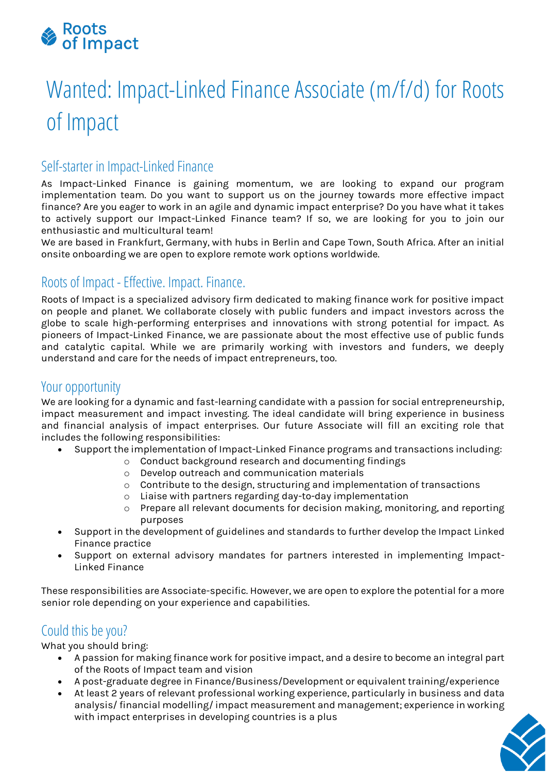

# Wanted: Impact-Linked Finance Associate (m/f/d) for Roots of Impact

# Self-starter in Impact-Linked Finance

As Impact-Linked Finance is gaining momentum, we are looking to expand our program implementation team. Do you want to support us on the journey towards more effective impact finance? Are you eager to work in an agile and dynamic impact enterprise? Do you have what it takes to actively support our Impact-Linked Finance team? If so, we are looking for you to join our enthusiastic and multicultural team!

We are based in Frankfurt, Germany, with hubs in Berlin and Cape Town, South Africa. After an initial onsite onboarding we are open to explore remote work options worldwide.

# Roots of Impact -Effective. Impact. Finance.

Roots of Impact is a specialized advisory firm dedicated to making finance work for positive impact on people and planet. We collaborate closely with public funders and impact investors across the globe to scale high-performing enterprises and innovations with strong potential for impact. As pioneers of Impact-Linked Finance, we are passionate about the most effective use of public funds and catalytic capital. While we are primarily working with investors and funders, we deeply understand and care for the needs of impact entrepreneurs, too.

#### Your opportunity

We are looking for a dynamic and fast-learning candidate with a passion for social entrepreneurship, impact measurement and impact investing. The ideal candidate will bring experience in business and financial analysis of impact enterprises. Our future Associate will fill an exciting role that includes the following responsibilities:

- Support the implementation of Impact-Linked Finance programs and transactions including:
	- o Conduct background research and documenting findings
		- o Develop outreach and communication materials
		- $\circ$  Contribute to the design, structuring and implementation of transactions
		- o Liaise with partners regarding day-to-day implementation
		- o Prepare all relevant documents for decision making, monitoring, and reporting purposes
- Support in the development of guidelines and standards to further develop the Impact Linked Finance practice
- Support on external advisory mandates for partners interested in implementing Impact-Linked Finance

These responsibilities are Associate-specific. However, we are open to explore the potential for a more senior role depending on your experience and capabilities.

# Could this be you?

What you should bring:

- A passion for making finance work for positive impact, and a desire to become an integral part of the Roots of Impact team and vision
- A post-graduate degree in Finance/Business/Development or equivalent training/experience
- At least 2 years of relevant professional working experience, particularly in business and data analysis/ financial modelling/ impact measurement and management; experience in working with impact enterprises in developing countries is a plus